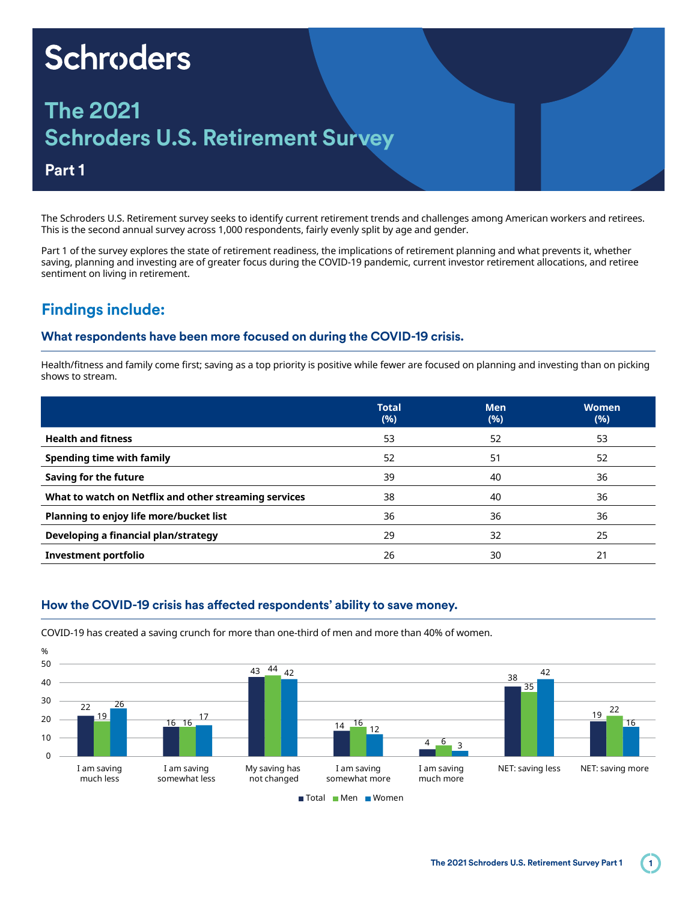# **Schroders**

## **The 2021 Schroders U.S. Retirement Survey**

#### **Part 1**

The Schroders U.S. Retirement survey seeks to identify current retirement trends and challenges among American workers and retirees. This is the second annual survey across 1,000 respondents, fairly evenly split by age and gender.

Part 1 of the survey explores the state of retirement readiness, the implications of retirement planning and what prevents it, whether saving, planning and investing are of greater focus during the COVID-19 pandemic, current investor retirement allocations, and retiree sentiment on living in retirement.

### **Findings include:**

#### **What respondents have been more focused on during the COVID-19 crisis.**

Health/fitness and family come first; saving as a top priority is positive while fewer are focused on planning and investing than on picking shows to stream.

|                                                       | <b>Total</b><br>(%) | <b>Men</b><br>(%) | <b>Women</b><br>(%) |
|-------------------------------------------------------|---------------------|-------------------|---------------------|
| <b>Health and fitness</b>                             | 53                  | 52                | 53                  |
| Spending time with family                             | 52                  | 51                | 52                  |
| Saving for the future                                 | 39                  | 40                | 36                  |
| What to watch on Netflix and other streaming services | 38                  | 40                | 36                  |
| Planning to enjoy life more/bucket list               | 36                  | 36                | 36                  |
| Developing a financial plan/strategy                  | 29                  | 32                | 25                  |
| Investment portfolio                                  | 26                  | 30                | 21                  |

#### **How the COVID-19 crisis has affected respondents' ability to save money.**



COVID-19 has created a saving crunch for more than one-third of men and more than 40% of women.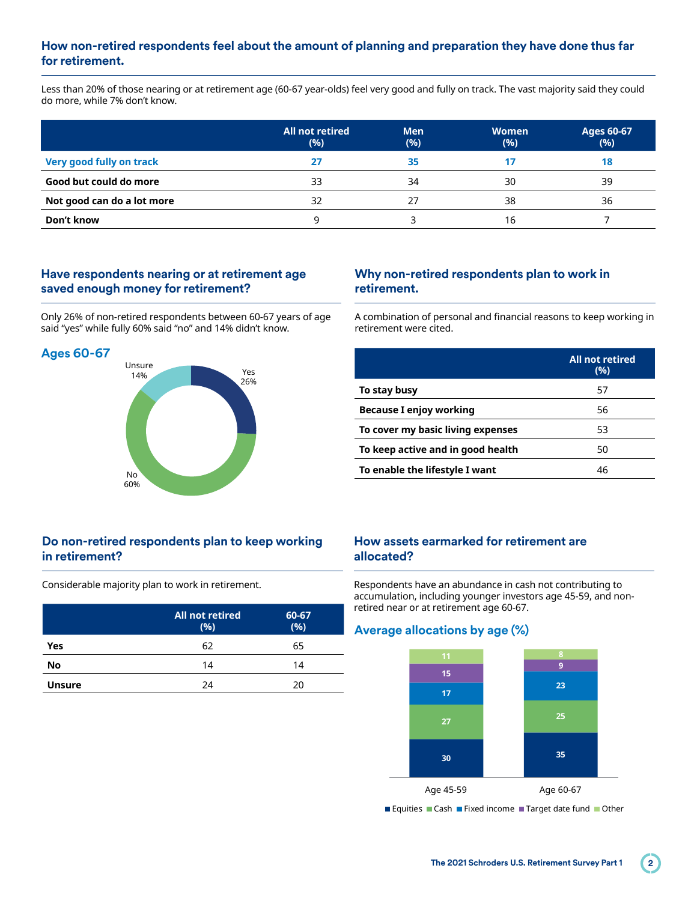#### **How non-retired respondents feel about the amount of planning and preparation they have done thus far for retirement.**

Less than 20% of those nearing or at retirement age (60-67 year-olds) feel very good and fully on track. The vast majority said they could do more, while 7% don't know.

|                                 | All not retired<br>(%) | <b>Men</b><br>(%) | <b>Women</b><br>(%) | <b>Ages 60-67</b><br>(%) |
|---------------------------------|------------------------|-------------------|---------------------|--------------------------|
| <b>Very good fully on track</b> | 27                     | 35                |                     | 18                       |
| Good but could do more          | 33                     | 34                | 30                  | 39                       |
| Not good can do a lot more      | 32                     |                   | 38                  | 36                       |
| Don't know                      |                        |                   | 16                  |                          |

#### **Have respondents nearing or at retirement age saved enough money for retirement?**

Only 26% of non-retired respondents between 60-67 years of age said "yes" while fully 60% said "no" and 14% didn't know.





#### **Why non-retired respondents plan to work in retirement.**

A combination of personal and financial reasons to keep working in retirement were cited.

|                                   | All not retired<br>(%) |
|-----------------------------------|------------------------|
| To stay busy                      | 57                     |
| <b>Because I enjoy working</b>    | 56                     |
| To cover my basic living expenses | 53                     |
| To keep active and in good health | 50                     |
| To enable the lifestyle I want    | 46                     |

#### **Do non-retired respondents plan to keep working in retirement?**

Considerable majority plan to work in retirement.

|               | <b>All not retired</b><br>(%) | 60-67<br>(%) |
|---------------|-------------------------------|--------------|
| Yes           | 62                            | 65           |
| No            | 14                            | 14           |
| <b>Unsure</b> | 24                            | 20           |

#### **How assets earmarked for retirement are allocated?**

Respondents have an abundance in cash not contributing to accumulation, including younger investors age 45-59, and nonretired near or at retirement age 60-67.

#### **Average allocations by age (%)**



Equities Cash Fixed income Target date fund Other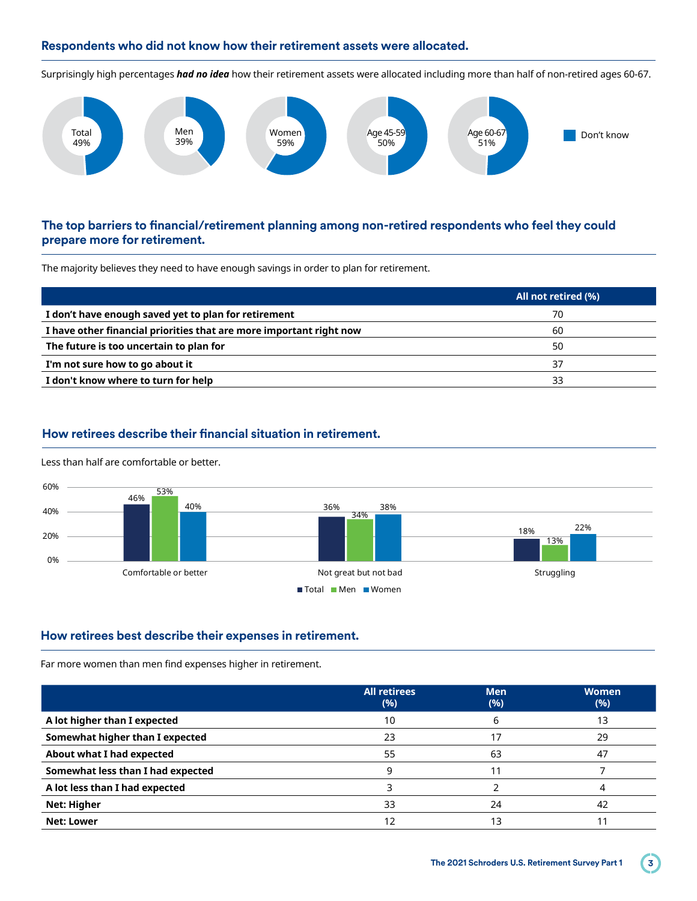#### **Respondents who did not know how their retirement assets were allocated.**

Surprisingly high percentages *had no idea* how their retirement assets were allocated including more than half of non-retired ages 60-67. Two **Two Two Two Two**



#### **The top barriers to financial/retirement planning among non-retired respondents who feel they could prepare more for retirement.**

The majority believes they need to have enough savings in order to plan for retirement.

|                                                                     | All not retired (%) |
|---------------------------------------------------------------------|---------------------|
| I don't have enough saved yet to plan for retirement                | 70                  |
| I have other financial priorities that are more important right now | 60                  |
| The future is too uncertain to plan for                             | 50                  |
| I'm not sure how to go about it                                     | 37                  |
| I don't know where to turn for help                                 | 33                  |
|                                                                     |                     |

#### **How retirees describe their financial situation in retirement.**



Less than half are comfortable or better.

#### **How retirees best describe their expenses in retirement.**

Far more women than men find expenses higher in retirement.

|                                   | <b>All retirees</b><br>(%) | <b>Men</b><br>(%) | <b>Women</b><br>(%) |
|-----------------------------------|----------------------------|-------------------|---------------------|
| A lot higher than I expected      | 10                         |                   | 13                  |
| Somewhat higher than I expected   | 23                         | 17                | 29                  |
| About what I had expected         | 55                         | 63                | 47                  |
| Somewhat less than I had expected | 9                          |                   |                     |
| A lot less than I had expected    |                            |                   |                     |
| <b>Net: Higher</b>                | 33                         | 24                | 42                  |
| Net: Lower                        | 12                         | 13                |                     |